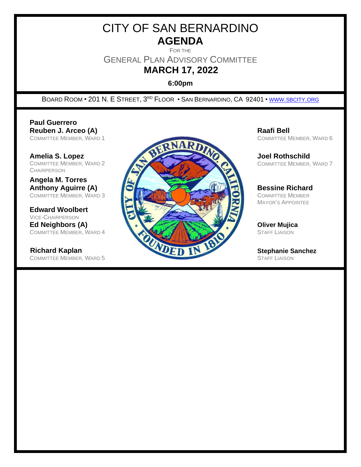# CITY OF SAN BERNARDINO **AGENDA**

FOR THE

GENERAL PLAN ADVISORY COMMITTEE

# **MARCH 17, 2022**

**6:00pm**

BOARD ROOM • 201 N. E STREET, 3<sup>rd</sup> Floor • San Bernardino, CA 92401 • WWW.[SBCITY](http://www.sbcity.org/).ORG

**Paul Guerrero**

COMMITTEE MEMBER, WARD 2 **CHAIRPERSON** 

**Angela M. Torres**

**Edward Woolbert** VICE-CHAIRPERSON

COMMITTEE MEMBER, WARD 5



COMMITTEE MEMBER, WARD 6

COMMITTEE MEMBER, WARD 7

MAYOR'S APPOINTEE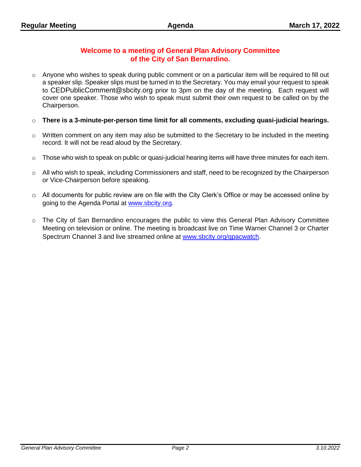# **Welcome to a meeting of General Plan Advisory Committee of the City of San Bernardino.**

- o Anyone who wishes to speak during public comment or on a particular item will be required to fill out a speaker slip. Speaker slips must be turned in to the Secretary. You may email your request to speak to CEDPublicComment@sbcity.org prior to 3pm on the day of the meeting. Each request will cover one speaker. Those who wish to speak must submit their own request to be called on by the Chairperson.
- o **There is a 3-minute-per-person time limit for all comments, excluding quasi-judicial hearings.**
- $\circ$  Written comment on any item may also be submitted to the Secretary to be included in the meeting record. It will not be read aloud by the Secretary.
- $\circ$  Those who wish to speak on public or quasi-judicial hearing items will have three minutes for each item.
- $\circ$  All who wish to speak, including Commissioners and staff, need to be recognized by the Chairperson or Vice-Chairperson before speaking.
- $\circ$  All documents for public review are on file with the City Clerk's Office or may be accessed online by going to the Agenda Portal at [www.sbcity.org.](file:///C:/Users/Maier_Jo/AppData/Local/Microsoft/Windows/Temporary%20Internet%20Files/Content.Outlook/MLV37WOO/www.sbcity.org)
- o The City of San Bernardino encourages the public to view this General Plan Advisory Committee Meeting on television or online. The meeting is broadcast live on Time Warner Channel 3 or Charter Spectrum Channel 3 and live streamed online at [www.sbcity.org/gpacwatch.](http://www.sbcity.org/gpacwatch)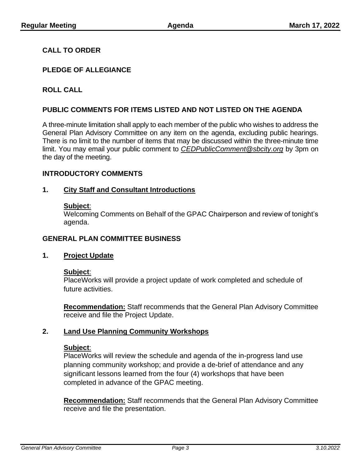# **CALL TO ORDER**

# **PLEDGE OF ALLEGIANCE**

# **ROLL CALL**

# **PUBLIC COMMENTS FOR ITEMS LISTED AND NOT LISTED ON THE AGENDA**

A three-minute limitation shall apply to each member of the public who wishes to address the General Plan Advisory Committee on any item on the agenda, excluding public hearings. There is no limit to the number of items that may be discussed within the three-minute time limit. You may email your public comment to *CEDPublicComment@sbcity.org* by 3pm on the day of the meeting.

#### **INTRODUCTORY COMMENTS**

#### **1. City Staff and Consultant Introductions**

#### **Subject**:

Welcoming Comments on Behalf of the GPAC Chairperson and review of tonight's agenda.

#### **GENERAL PLAN COMMITTEE BUSINESS**

#### **1. Project Update**

#### **Subject**:

PlaceWorks will provide a project update of work completed and schedule of future activities.

**Recommendation:** Staff recommends that the General Plan Advisory Committee receive and file the Project Update.

#### **2. Land Use Planning Community Workshops**

#### **Subject**:

PlaceWorks will review the schedule and agenda of the in-progress land use planning community workshop; and provide a de-brief of attendance and any significant lessons learned from the four (4) workshops that have been completed in advance of the GPAC meeting.

**Recommendation:** Staff recommends that the General Plan Advisory Committee receive and file the presentation.